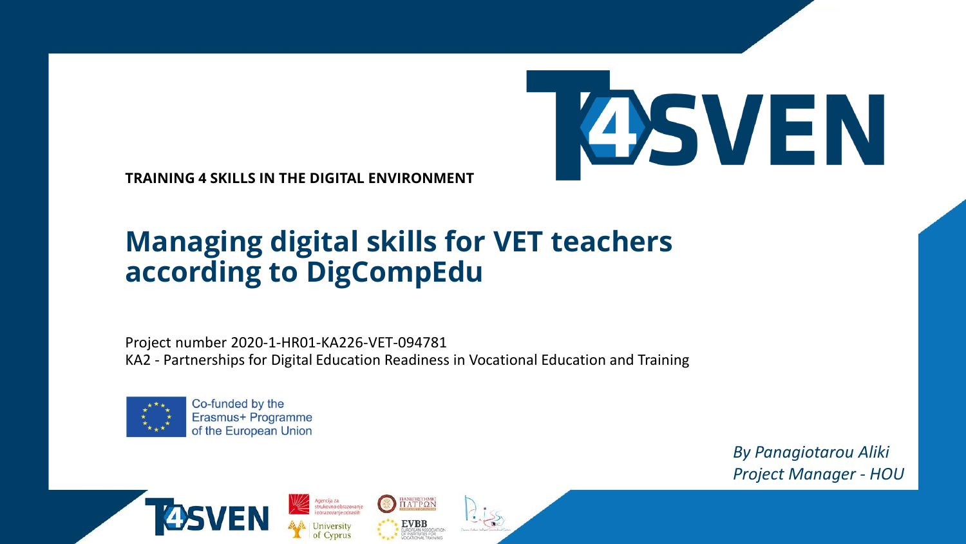

**TRAINING 4 SKILLS IN THE DIGITAL ENVIRONMENT** 

### **Managing digital skills for VET teachers according to DigCompEdu**

Project number 2020-1-HR01-KA226-VET-094781 KA2 - Partnerships for Digital Education Readiness in Vocational Education and Training

*TIANETIETHMIC*<br>**TIATPON** 

**EVBB** 

Agencija za<br>strukovno obrazovanje<br>i obrazovanje odraslih



Co-funded by the Erasmus+ Programme of the European Union

> *By Panagiotarou Aliki Project Manager - HOU*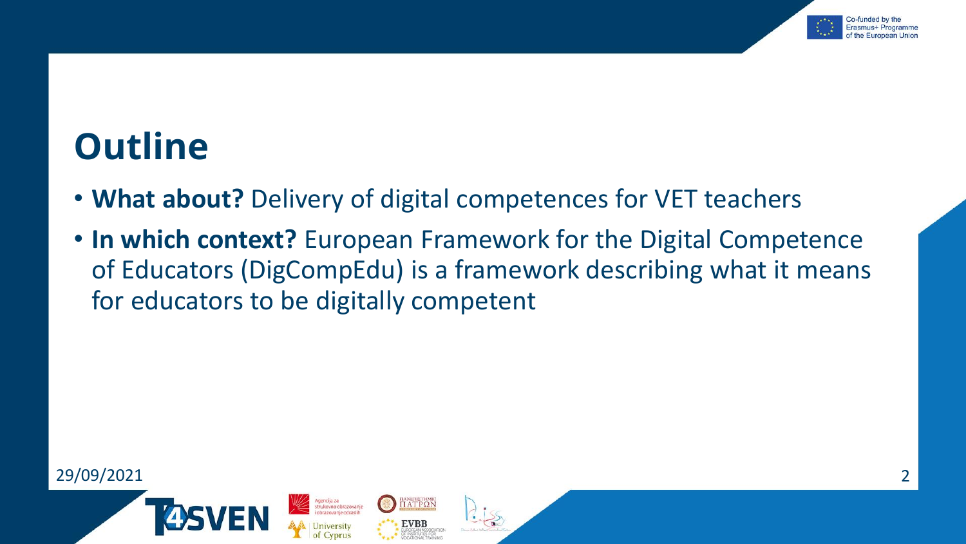

## **Outline**

• **What about?** Delivery of digital competences for VET teachers

ΠΑΝΕΠΙΣΤΗΜΙΟ<br>ΠΑΤΡΩΝ

**EVBB** OPEAN ASSOCIAT<br>NSTITUTES FOR<br>'ATIONAL TRAINIA

• **In which context?** European Framework for the Digital Competence of Educators (DigCompEdu) is a framework describing what it means for educators to be digitally competent

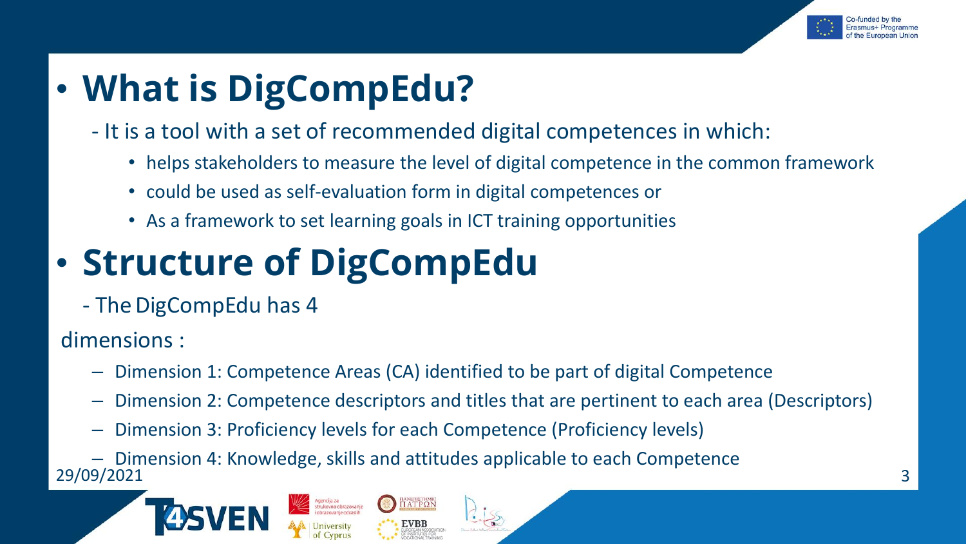

## • **What is DigCompEdu?**

- It is a tool with a set of recommended digital competences in which:
	- helps stakeholders to measure the level of digital competence in the common framework
	- could be used as self-evaluation form in digital competences or
	- As a framework to set learning goals in ICT training opportunities

# • **Structure of DigCompEdu**

- The DigCompEdu has 4

dimensions :

- Dimension 1: Competence Areas (CA) identified to be part of digital Competence
- Dimension 2: Competence descriptors and titles that are pertinent to each area (Descriptors)
- Dimension 3: Proficiency levels for each Competence (Proficiency levels)

29/09/2021 3 – Dimension 4: Knowledge, skills and attitudes applicable to each Competence



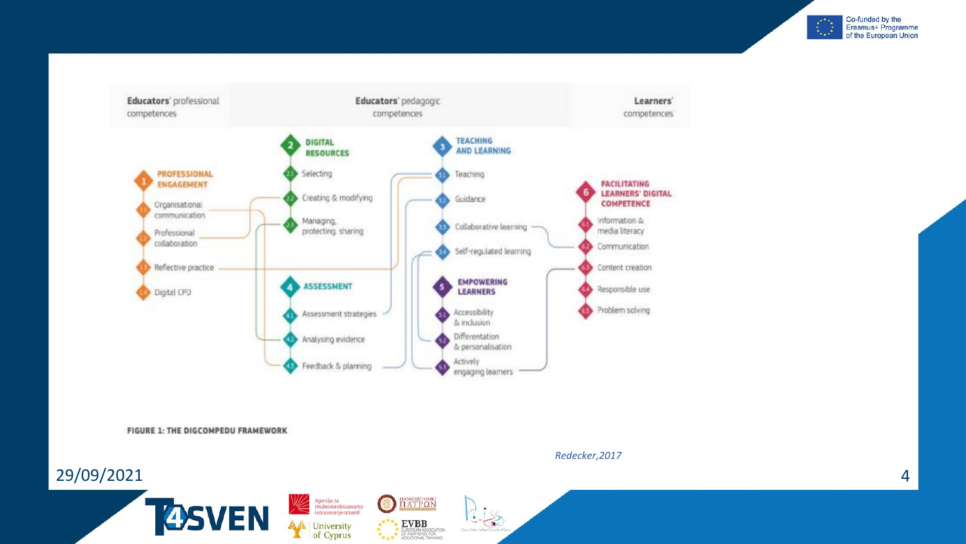



Agencija za<br>strukovno obrazovanje<br>i obrazovanje odraslih

**A**<br>
University<br>
of Cyprus

 $\bigodot$ 

 $\frac{\text{maxinterval}}{\text{I1} \text{AT} \text{P} \text{Q} \text{N}}$ 

EVBB<br>EUROPEAN ASSOCIATION<br>COCATIONAL TRAINING

 $2.155$ 

FIGURE 1: THE DIGCOMPEDU FRAMEWORK

**TOSVEN** 

29/09/2021

*Redecker,2017*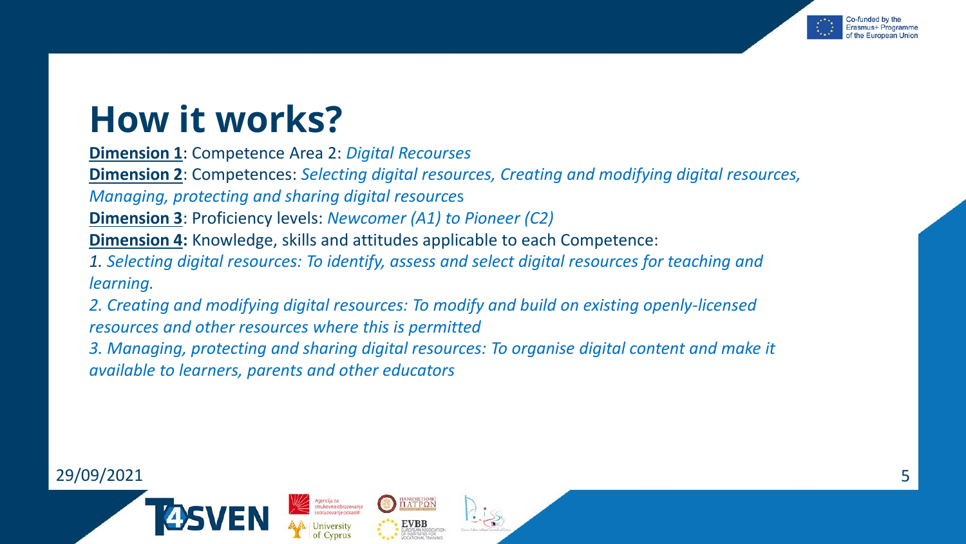

## **How it works?**

**Dimension 1**: Competence Area 2: *Digital Recourses* 

**Dimension 2**: Competences: *Selecting digital resources, Creating and modifying digital resources,* 

*Managing, protecting and sharing digital resource*s

**Dimension 3**: Proficiency levels: *Newcomer (A1) to Pioneer (C2)*

**Dimension 4:** Knowledge, skills and attitudes applicable to each Competence:

*1. Selecting digital resources: To identify, assess and select digital resources for teaching and learning.* 

*2. Creating and modifying digital resources: To modify and build on existing openly-licensed resources and other resources where this is permitted*

*3. Managing, protecting and sharing digital resources: To organise digital content and make it available to learners, parents and other educators*

ΠΑΝΕΠΙΣΤΗΜΙΟ<br>ΠΑΤΡΩΝ

#### 29/09/2021 5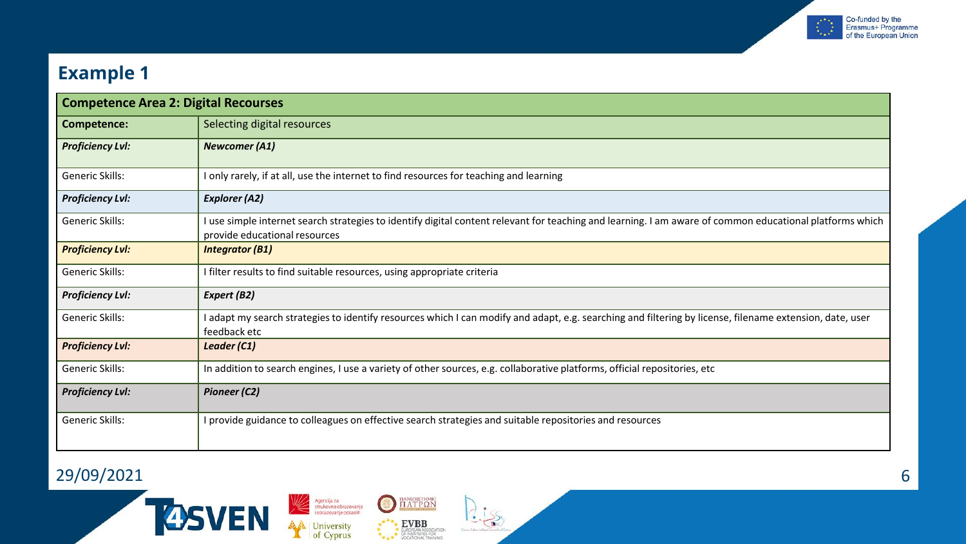

#### **Example 1**

| <b>Competence Area 2: Digital Recourses</b> |                                                                                                                                                                                           |
|---------------------------------------------|-------------------------------------------------------------------------------------------------------------------------------------------------------------------------------------------|
| <b>Competence:</b>                          | Selecting digital resources                                                                                                                                                               |
| <b>Proficiency Lvl:</b>                     | <b>Newcomer (A1)</b>                                                                                                                                                                      |
| Generic Skills:                             | I only rarely, if at all, use the internet to find resources for teaching and learning                                                                                                    |
| <b>Proficiency Lvl:</b>                     | <b>Explorer (A2)</b>                                                                                                                                                                      |
| Generic Skills:                             | I use simple internet search strategies to identify digital content relevant for teaching and learning. I am aware of common educational platforms which<br>provide educational resources |
| <b>Proficiency Lvl:</b>                     | <b>Integrator (B1)</b>                                                                                                                                                                    |
| Generic Skills:                             | I filter results to find suitable resources, using appropriate criteria                                                                                                                   |
| <b>Proficiency Lvl:</b>                     | Expert (B2)                                                                                                                                                                               |
| Generic Skills:                             | I adapt my search strategies to identify resources which I can modify and adapt, e.g. searching and filtering by license, filename extension, date, user<br>feedback etc                  |
| <b>Proficiency Lvl:</b>                     | Leader (C1)                                                                                                                                                                               |
| Generic Skills:                             | In addition to search engines, I use a variety of other sources, e.g. collaborative platforms, official repositories, etc                                                                 |
| <b>Proficiency Lvl:</b>                     | <b>Pioneer (C2)</b>                                                                                                                                                                       |
| Generic Skills:                             | I provide guidance to colleagues on effective search strategies and suitable repositories and resources                                                                                   |

 $2.155$ 

**O HATPON** 

ATA EVBB AND CONTROL AND THE MAGNETIC RESPONSE ON A SERIES FOR

Agencija za<br>strukovno obrazovanje<br>i obrazovanje odraslih

University<br>of Cyprus

#### 29/09/2021 6

**TASVEN**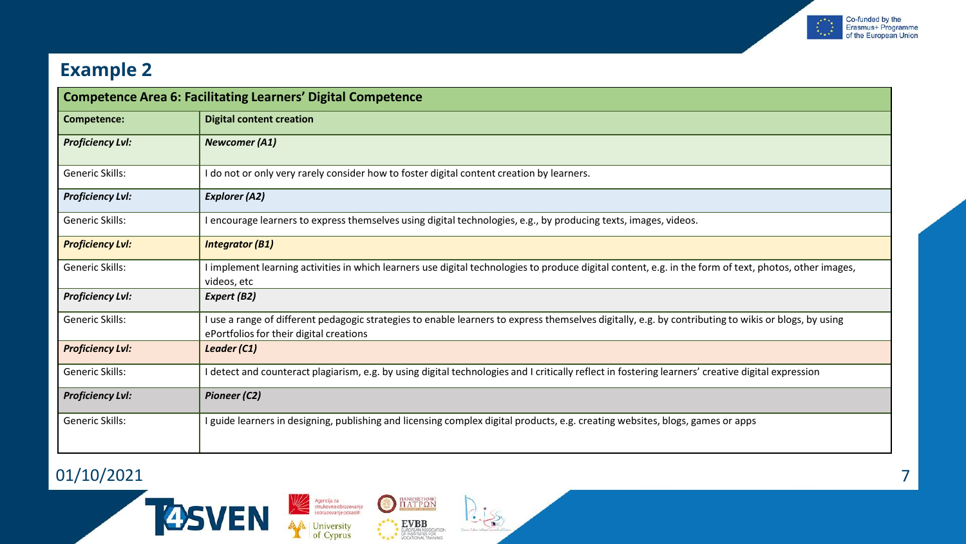

#### **Example 2**

| <b>Competence Area 6: Facilitating Learners' Digital Competence</b> |                                                                                                                                                                                                 |  |
|---------------------------------------------------------------------|-------------------------------------------------------------------------------------------------------------------------------------------------------------------------------------------------|--|
| Competence:                                                         | <b>Digital content creation</b>                                                                                                                                                                 |  |
| <b>Proficiency Lvl:</b>                                             | <b>Newcomer (A1)</b>                                                                                                                                                                            |  |
| Generic Skills:                                                     | I do not or only very rarely consider how to foster digital content creation by learners.                                                                                                       |  |
| <b>Proficiency Lvl:</b>                                             | <b>Explorer (A2)</b>                                                                                                                                                                            |  |
| Generic Skills:                                                     | I encourage learners to express themselves using digital technologies, e.g., by producing texts, images, videos.                                                                                |  |
| <b>Proficiency Lvl:</b>                                             | <b>Integrator (B1)</b>                                                                                                                                                                          |  |
| Generic Skills:                                                     | I implement learning activities in which learners use digital technologies to produce digital content, e.g. in the form of text, photos, other images,<br>videos, etc                           |  |
| <b>Proficiency Lvl:</b>                                             | Expert (B2)                                                                                                                                                                                     |  |
| Generic Skills:                                                     | I use a range of different pedagogic strategies to enable learners to express themselves digitally, e.g. by contributing to wikis or blogs, by using<br>ePortfolios for their digital creations |  |
| <b>Proficiency Lvl:</b>                                             | Leader (C1)                                                                                                                                                                                     |  |
| Generic Skills:                                                     | I detect and counteract plagiarism, e.g. by using digital technologies and I critically reflect in fostering learners' creative digital expression                                              |  |
| <b>Proficiency Lvl:</b>                                             | <b>Pioneer (C2)</b>                                                                                                                                                                             |  |
| Generic Skills:                                                     | I guide learners in designing, publishing and licensing complex digital products, e.g. creating websites, blogs, games or apps                                                                  |  |

 $2.15$ 

Agencija za<br>strukovno obrazovanje<br>i obrazovanje odraslih

University<br>of Cyprus

**O HATPON** 

ATA EVBB AND CONTROL AND THE MAGNETIC RESPONSE ON A SERIES FOR

#### 01/10/2021 7

**TASVEN**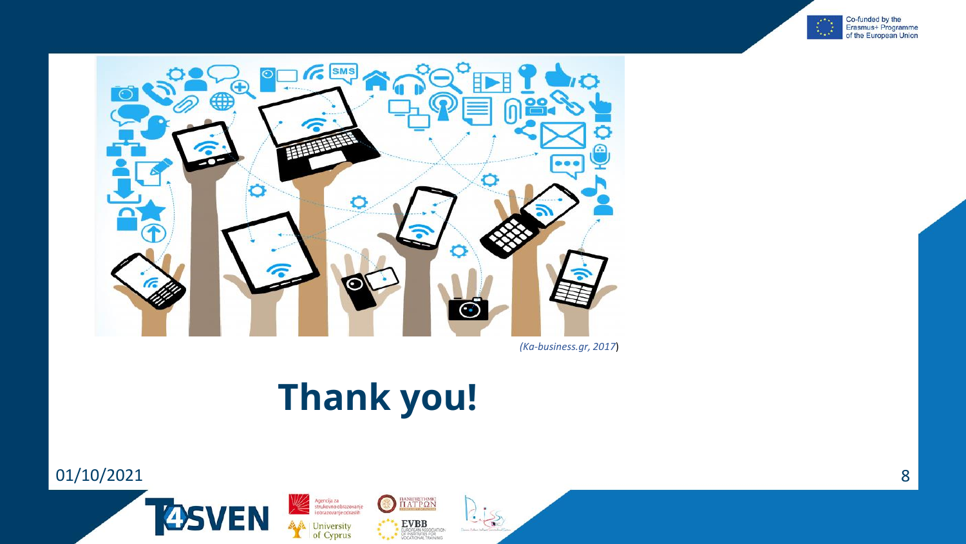



*(Ka-business.gr, 2017*)

## **Thank you!**